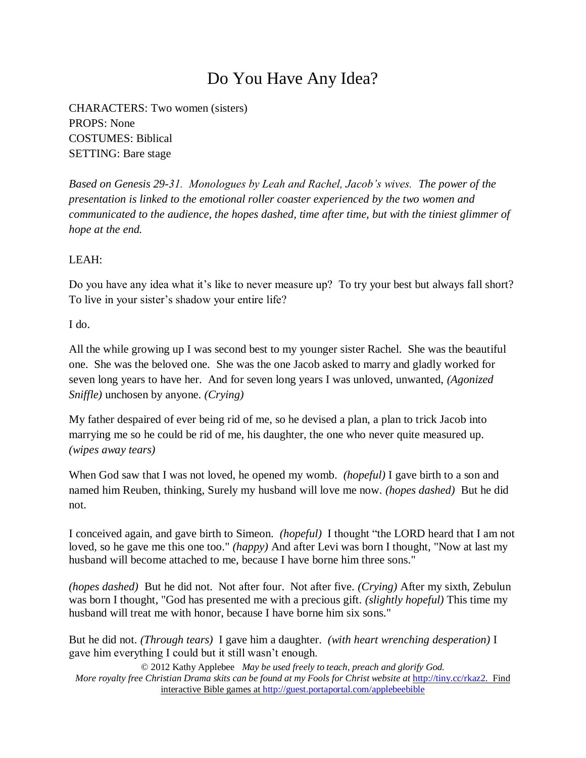## Do You Have Any Idea?

CHARACTERS: Two women (sisters) PROPS: None COSTUMES: Biblical SETTING: Bare stage

*Based on Genesis 29-31. Monologues by Leah and Rachel, Jacob's wives. The power of the presentation is linked to the emotional roller coaster experienced by the two women and communicated to the audience, the hopes dashed, time after time, but with the tiniest glimmer of hope at the end.*

## LEAH:

Do you have any idea what it's like to never measure up? To try your best but always fall short? To live in your sister's shadow your entire life?

I do.

All the while growing up I was second best to my younger sister Rachel. She was the beautiful one. She was the beloved one. She was the one Jacob asked to marry and gladly worked for seven long years to have her. And for seven long years I was unloved, unwanted, *(Agonized Sniffle)* unchosen by anyone. *(Crying)*

My father despaired of ever being rid of me, so he devised a plan, a plan to trick Jacob into marrying me so he could be rid of me, his daughter, the one who never quite measured up. *(wipes away tears)*

When God saw that I was not loved, he opened my womb. *(hopeful)* I gave birth to a son and named him Reuben, thinking, Surely my husband will love me now. *(hopes dashed)* But he did not.

I conceived again, and gave birth to Simeon. *(hopeful)* I thought "the LORD heard that I am not loved, so he gave me this one too." *(happy)* And after Levi was born I thought, "Now at last my husband will become attached to me, because I have borne him three sons."

*(hopes dashed)* But he did not. Not after four. Not after five. *(Crying)* After my sixth, Zebulun was born I thought, "God has presented me with a precious gift. *(slightly hopeful)* This time my husband will treat me with honor, because I have borne him six sons."

But he did not. *(Through tears)* I gave him a daughter. *(with heart wrenching desperation)* I gave him everything I could but it still wasn't enough.

© 2012 Kathy Applebee *May be used freely to teach, preach and glorify God. More royalty free Christian Drama skits can be found at my Fools for Christ website at http://tiny.cc/rkaz2.* Find interactive Bible games at http://guest.portaportal.com/applebeebible